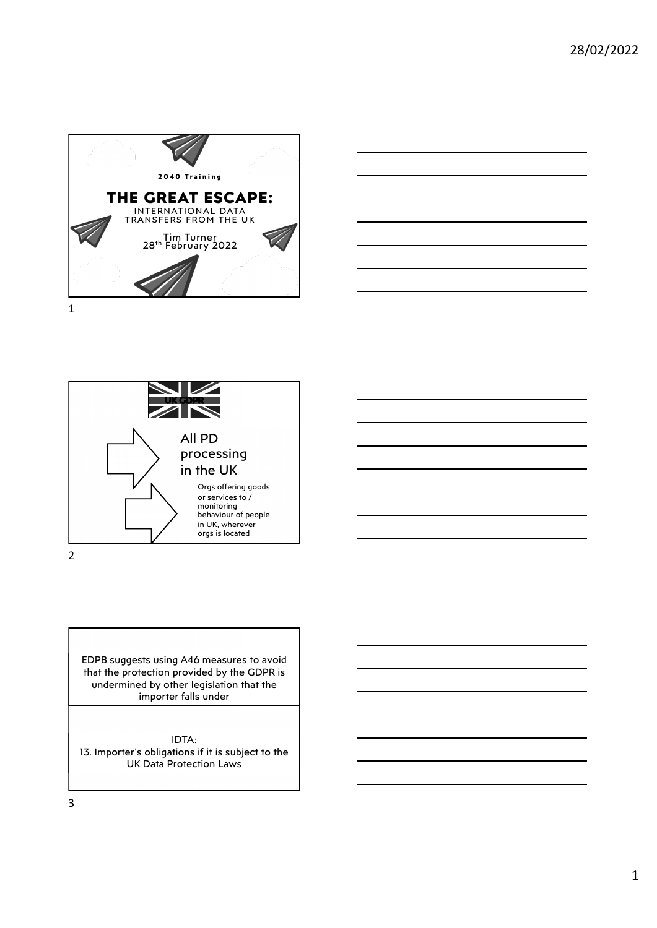





EDPB suggests using A46 measures to avoid that the protection provided by the GDPR is undermined by other legislation that the importer falls under IDTA:

13. Importer's obligations if it is subject to the UK Data Protection Laws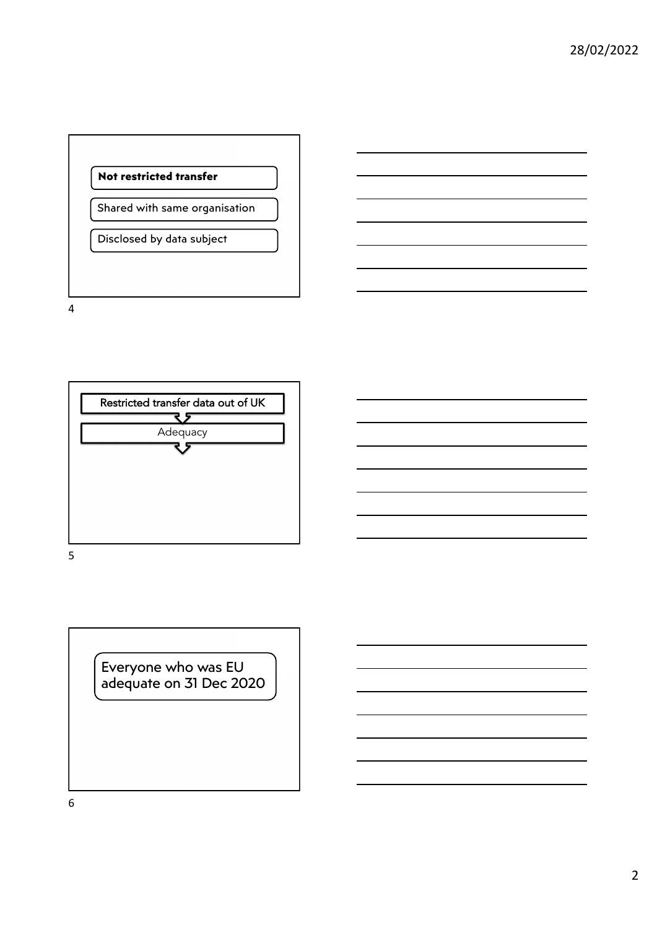



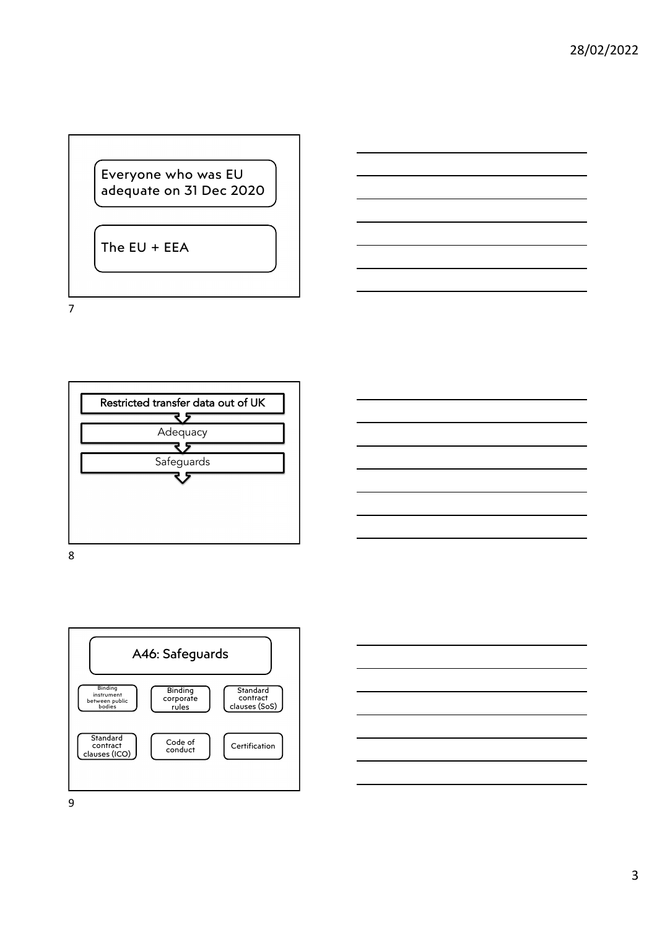Everyone who was EU adequate on 31 Dec 2020

The EU + EEA

7



8



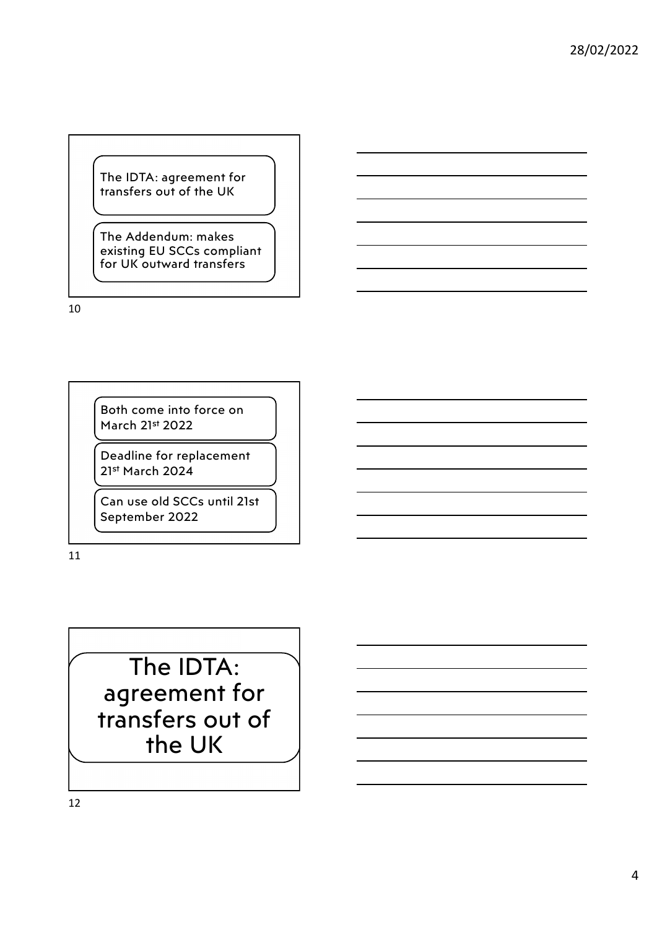The IDTA: agreement for transfers out of the UK

The Addendum: makes existing EU SCCs compliant for UK outward transfers

10

Both come into force on March 21st 2022

Deadline for replacement 21st March 2024

Can use old SCCs until 21st September 2022

11

The IDTA: agreement for transfers out of the UK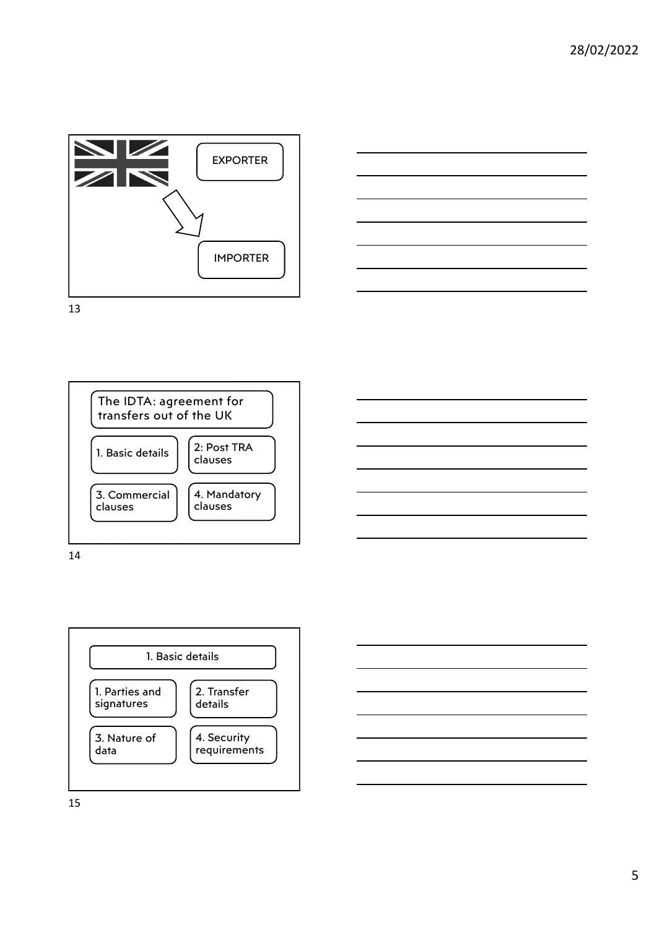





14



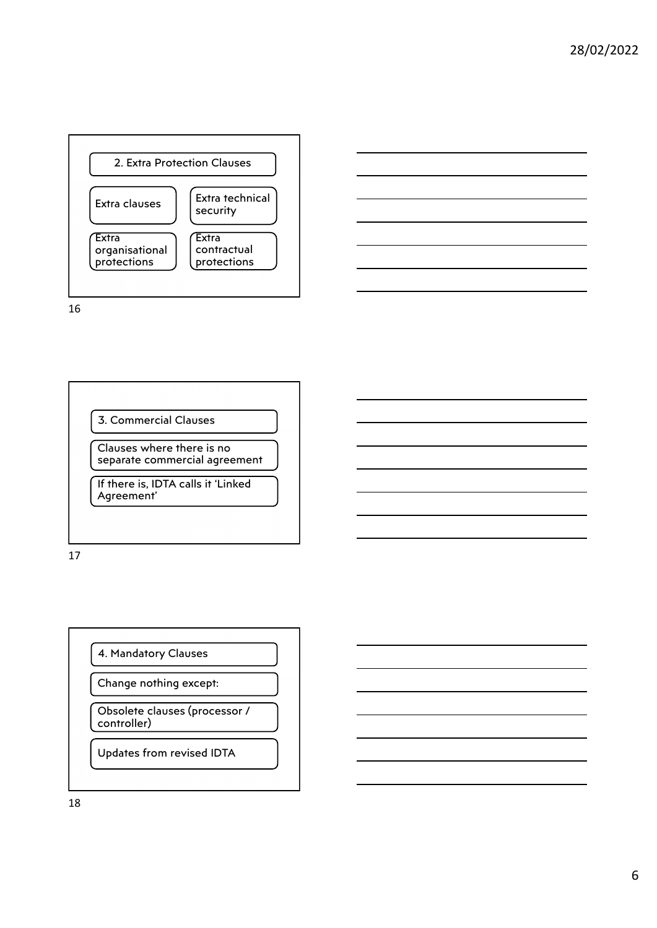



17

4. Mandatory Clauses

Change nothing except:

Obsolete clauses (processor / controller)

Updates from revised IDTA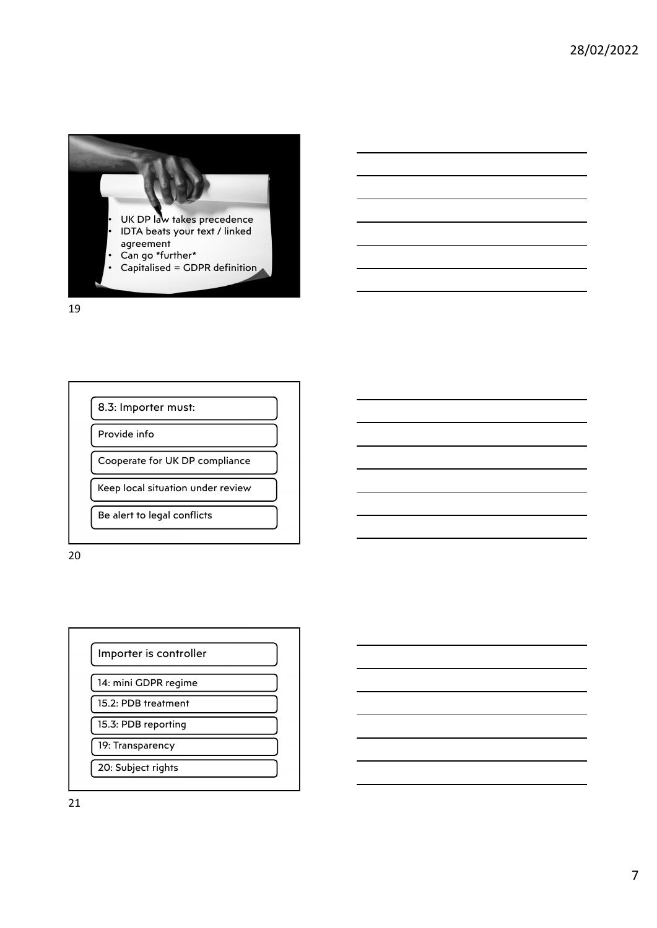



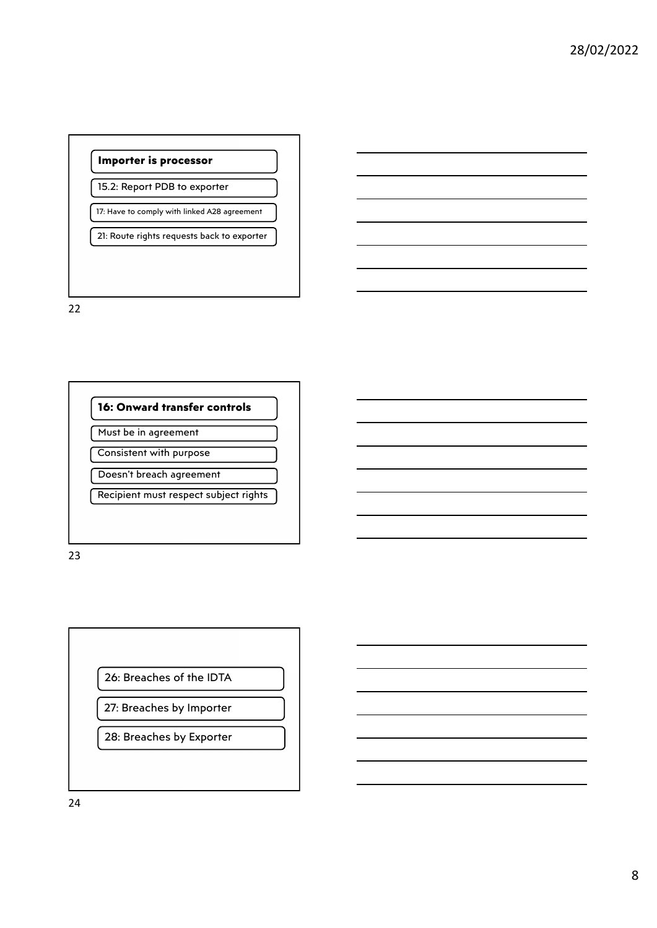

21: Route rights requests back to exporter

22



Must be in agreement

Consistent with purpose Doesn't breach agreement

Recipient must respect subject rights

23



27: Breaches by Importer

28: Breaches by Exporter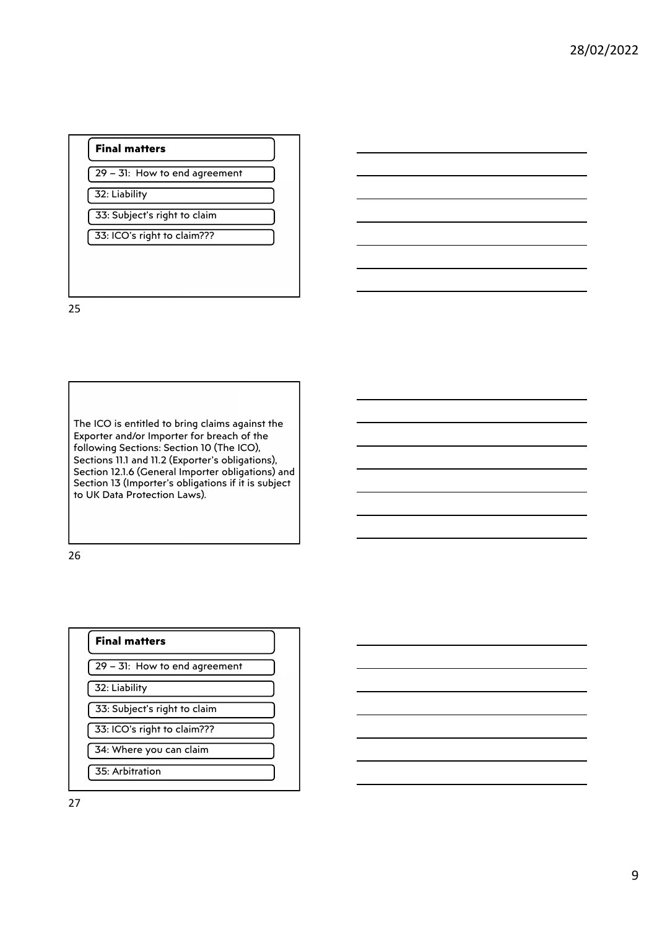#### **Final matters**

29 – 31: How to end agreement

32: Liability

33: Subject's right to claim

33: ICO's right to claim???

25

The ICO is entitled to bring claims against the Exporter and/or Importer for breach of the following Sections: Section 10 (The ICO), Sections 11.1 and 11.2 (Exporter's obligations), Section 12.1.6 (General Importer obligations) and Section 13 (Importer's obligations if it is subject to UK Data Protection Laws).

26

## **Final matters** 29 – 31: How to end agreement 32: Liability 33: Subject's right to claim 33: ICO's right to claim??? 34: Where you can claim 35: Arbitration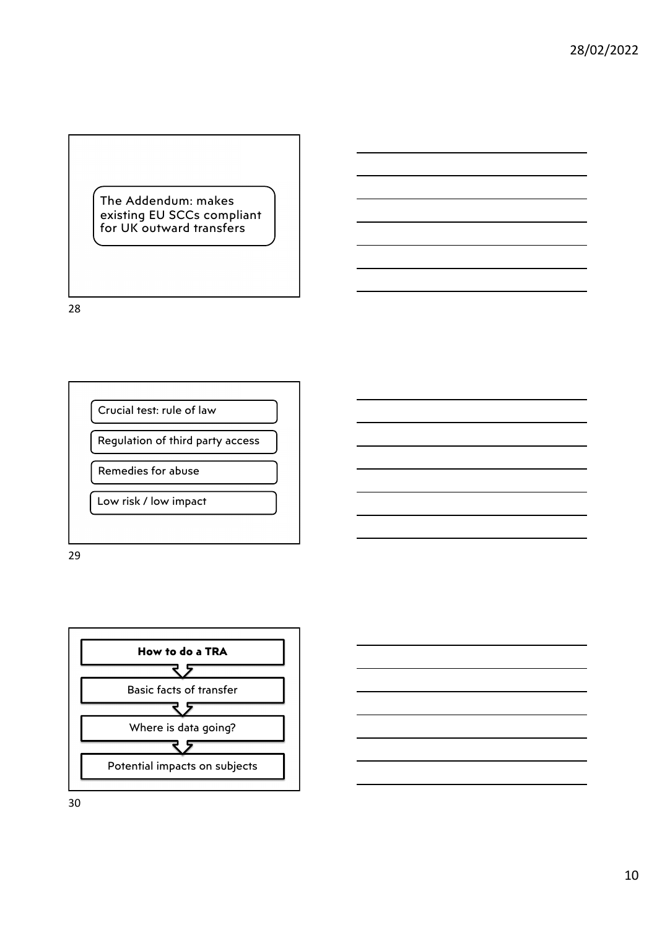The Addendum: makes existing EU SCCs compliant for UK outward transfers

28



29

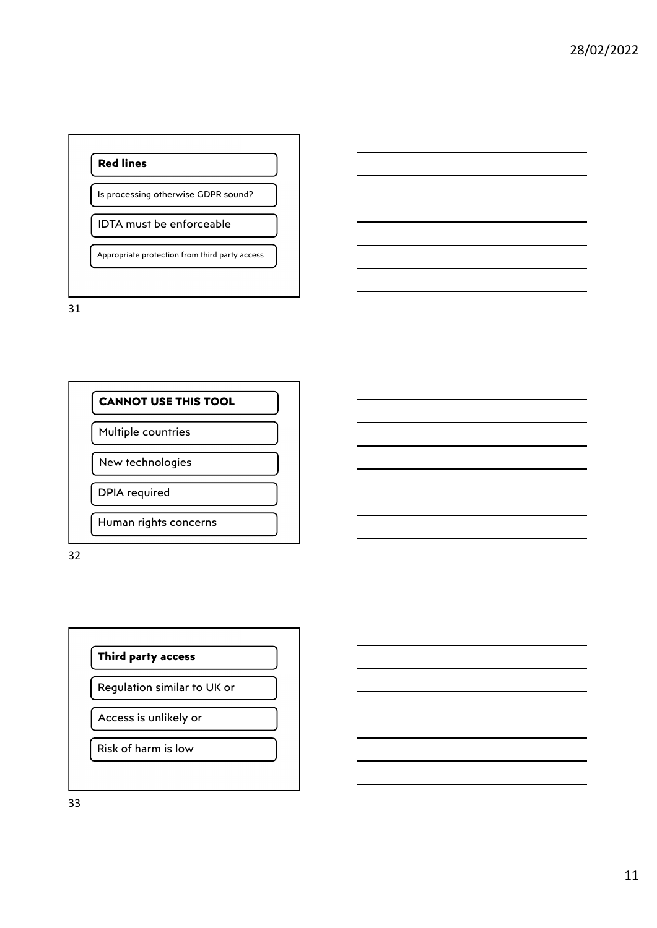### **Red lines**

Is processing otherwise GDPR sound?

#### IDTA must be enforceable

Appropriate protection from third party access

31

# **CANNOT USE THIS TOOL** Multiple countries

New technologies

DPIA required

Human rights concerns

32

#### **Third party access**

Regulation similar to UK or

Access is unlikely or

Risk of harm is low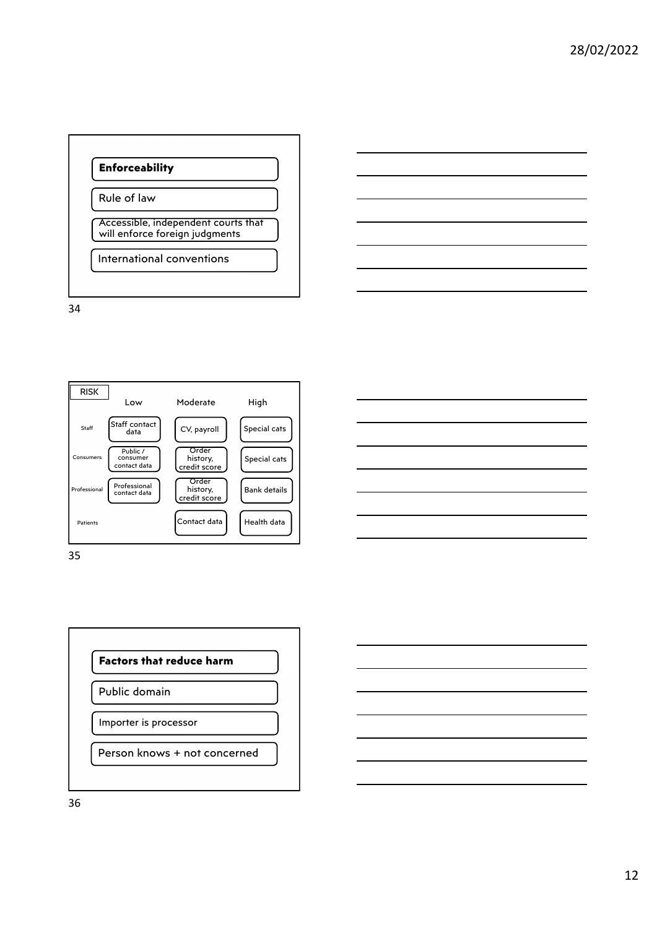



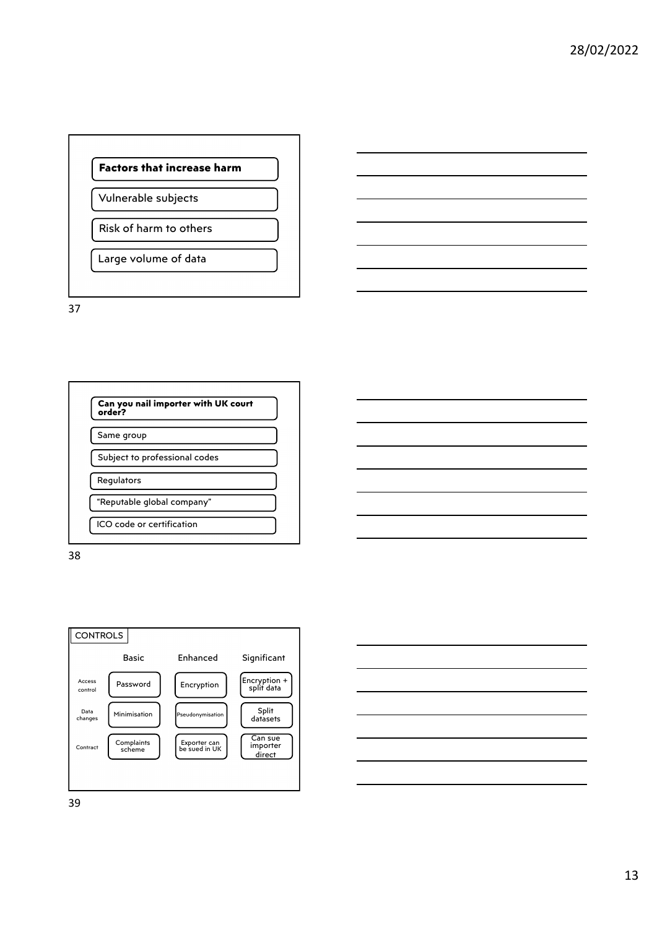

Vulnerable subjects

Risk of harm to others

Large volume of data

37





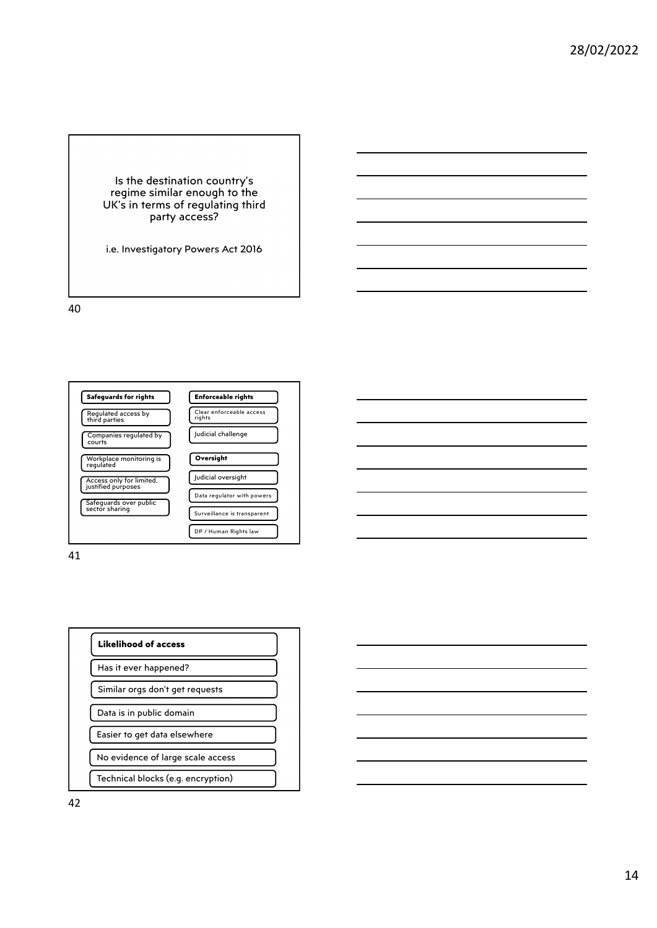Is the destination country's regime similar enough to the UK's in terms of regulating third party access?

i.e. Investigatory Powers Act 2016

40



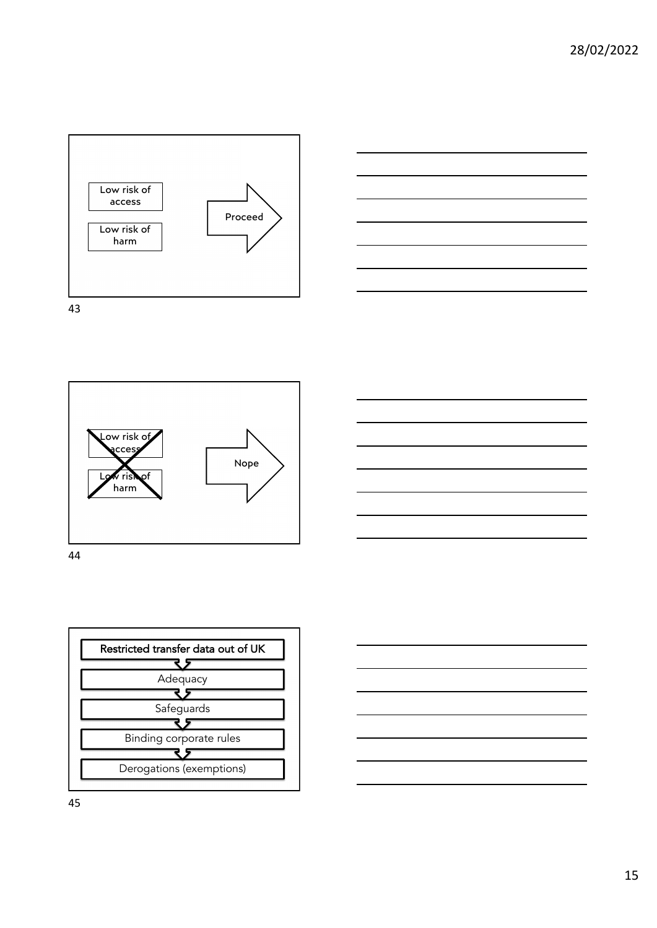





44